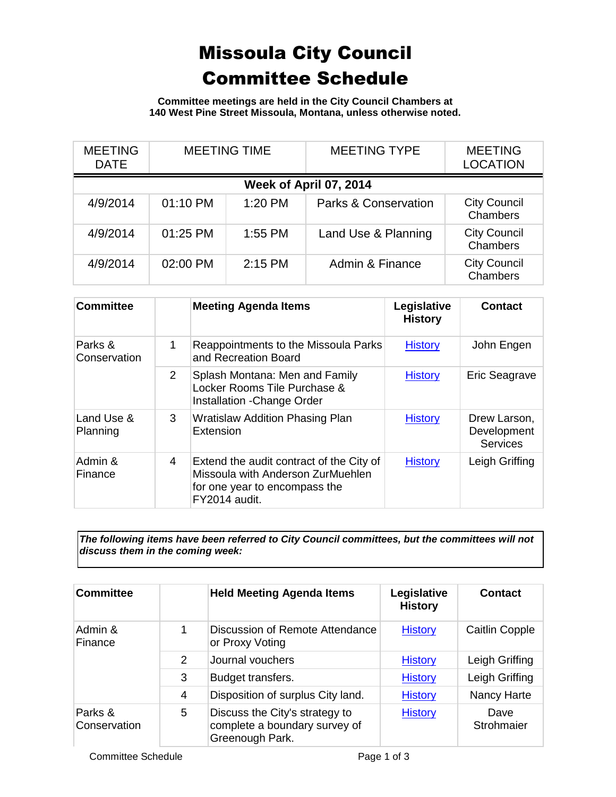## Missoula City Council Committee Schedule

**Committee meetings are held in the City Council Chambers at 140 West Pine Street Missoula, Montana, unless otherwise noted.**

| <b>MEETING</b><br><b>DATE</b> | <b>MEETING TIME</b> |           | <b>MEETING TYPE</b>             | <b>MEETING</b><br><b>LOCATION</b> |  |
|-------------------------------|---------------------|-----------|---------------------------------|-----------------------------------|--|
| Week of April 07, 2014        |                     |           |                                 |                                   |  |
| 4/9/2014                      | 01:10 PM            | 1:20 PM   | <b>Parks &amp; Conservation</b> | <b>City Council</b><br>Chambers   |  |
| 4/9/2014                      | 01:25 PM            | $1:55$ PM | Land Use & Planning             | <b>City Council</b><br>Chambers   |  |
| 4/9/2014                      | 02:00 PM            | $2:15$ PM | Admin & Finance                 | <b>City Council</b><br>Chambers   |  |

| <b>Committee</b>        |                | <b>Meeting Agenda Items</b>                                                                                                     | Legislative<br><b>History</b> | <b>Contact</b>                                 |
|-------------------------|----------------|---------------------------------------------------------------------------------------------------------------------------------|-------------------------------|------------------------------------------------|
| Parks &<br>Conservation | 1              | Reappointments to the Missoula Parks<br>and Recreation Board                                                                    | <b>History</b>                | John Engen                                     |
|                         | $\overline{2}$ | Splash Montana: Men and Family<br>Locker Rooms Tile Purchase &<br>Installation - Change Order                                   | <b>History</b>                | Eric Seagrave                                  |
| Land Use &<br>Planning  | 3              | <b>Wratislaw Addition Phasing Plan</b><br>Extension                                                                             | <b>History</b>                | Drew Larson,<br>Development<br><b>Services</b> |
| Admin &<br>Finance      | 4              | Extend the audit contract of the City of<br>Missoula with Anderson ZurMuehlen<br>for one year to encompass the<br>FY2014 audit. | <b>History</b>                | Leigh Griffing                                 |

*The following items have been referred to City Council committees, but the committees will not discuss them in the coming week:*

| <b>Committee</b>        |   | <b>Held Meeting Agenda Items</b>                                                   | Legislative<br><b>History</b> | <b>Contact</b>        |
|-------------------------|---|------------------------------------------------------------------------------------|-------------------------------|-----------------------|
| Admin &<br>Finance      | 1 | Discussion of Remote Attendance<br>or Proxy Voting                                 | <b>History</b>                | <b>Caitlin Copple</b> |
|                         | 2 | Journal vouchers                                                                   | <b>History</b>                | Leigh Griffing        |
|                         | 3 | Budget transfers.                                                                  | <b>History</b>                | Leigh Griffing        |
|                         | 4 | Disposition of surplus City land.                                                  | <b>History</b>                | <b>Nancy Harte</b>    |
| Parks &<br>Conservation | 5 | Discuss the City's strategy to<br>complete a boundary survey of<br>Greenough Park. | <b>History</b>                | Dave<br>Strohmaier    |

Committee Schedule **Page 1 of 3**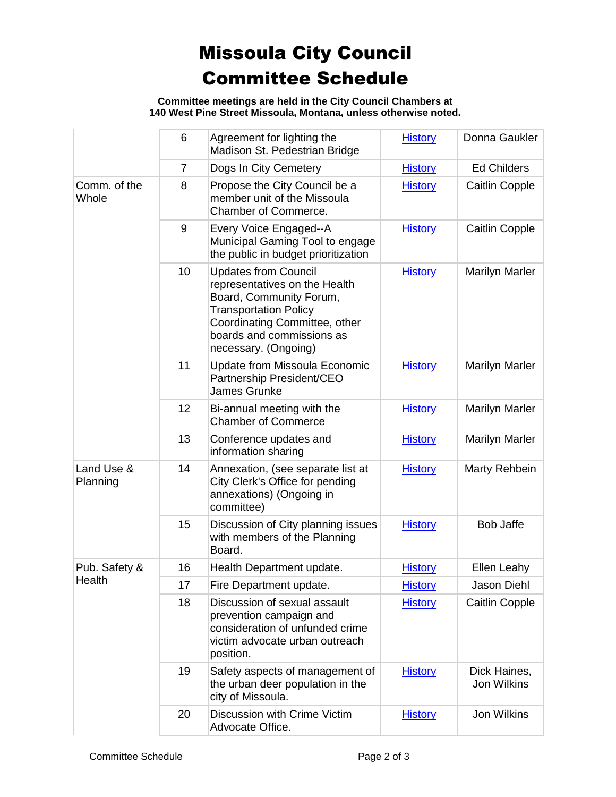## Missoula City Council Committee Schedule

**Committee meetings are held in the City Council Chambers at 140 West Pine Street Missoula, Montana, unless otherwise noted.**

|                         | 6              | Agreement for lighting the<br>Madison St. Pedestrian Bridge                                                                                                                                                   | <b>History</b> | Donna Gaukler               |
|-------------------------|----------------|---------------------------------------------------------------------------------------------------------------------------------------------------------------------------------------------------------------|----------------|-----------------------------|
|                         | $\overline{7}$ | Dogs In City Cemetery                                                                                                                                                                                         | <b>History</b> | <b>Ed Childers</b>          |
| Comm. of the<br>Whole   | 8              | Propose the City Council be a<br>member unit of the Missoula<br>Chamber of Commerce.                                                                                                                          | <b>History</b> | <b>Caitlin Copple</b>       |
|                         | 9              | Every Voice Engaged--A<br>Municipal Gaming Tool to engage<br>the public in budget prioritization                                                                                                              | <b>History</b> | <b>Caitlin Copple</b>       |
|                         | 10             | <b>Updates from Council</b><br>representatives on the Health<br>Board, Community Forum,<br><b>Transportation Policy</b><br>Coordinating Committee, other<br>boards and commissions as<br>necessary. (Ongoing) | <b>History</b> | <b>Marilyn Marler</b>       |
|                         | 11             | Update from Missoula Economic<br>Partnership President/CEO<br>James Grunke                                                                                                                                    | <b>History</b> | <b>Marilyn Marler</b>       |
|                         | 12             | Bi-annual meeting with the<br><b>Chamber of Commerce</b>                                                                                                                                                      | <b>History</b> | <b>Marilyn Marler</b>       |
|                         | 13             | Conference updates and<br>information sharing                                                                                                                                                                 | <b>History</b> | <b>Marilyn Marler</b>       |
| Land Use &<br>Planning  | 14             | Annexation, (see separate list at<br>City Clerk's Office for pending<br>annexations) (Ongoing in<br>committee)                                                                                                | <b>History</b> | Marty Rehbein               |
|                         | 15             | Discussion of City planning issues<br>with members of the Planning<br>Board.                                                                                                                                  | <b>History</b> | <b>Bob Jaffe</b>            |
| Pub. Safety &<br>Health | 16             | Health Department update.                                                                                                                                                                                     | <b>History</b> | <b>Ellen Leahy</b>          |
|                         | 17             | Fire Department update.                                                                                                                                                                                       | <b>History</b> | Jason Diehl                 |
|                         | 18             | Discussion of sexual assault<br>prevention campaign and<br>consideration of unfunded crime<br>victim advocate urban outreach<br>position.                                                                     | <b>History</b> | <b>Caitlin Copple</b>       |
|                         | 19             | Safety aspects of management of<br>the urban deer population in the<br>city of Missoula.                                                                                                                      | <b>History</b> | Dick Haines,<br>Jon Wilkins |
|                         | 20             | Discussion with Crime Victim<br>Advocate Office.                                                                                                                                                              | <b>History</b> | Jon Wilkins                 |